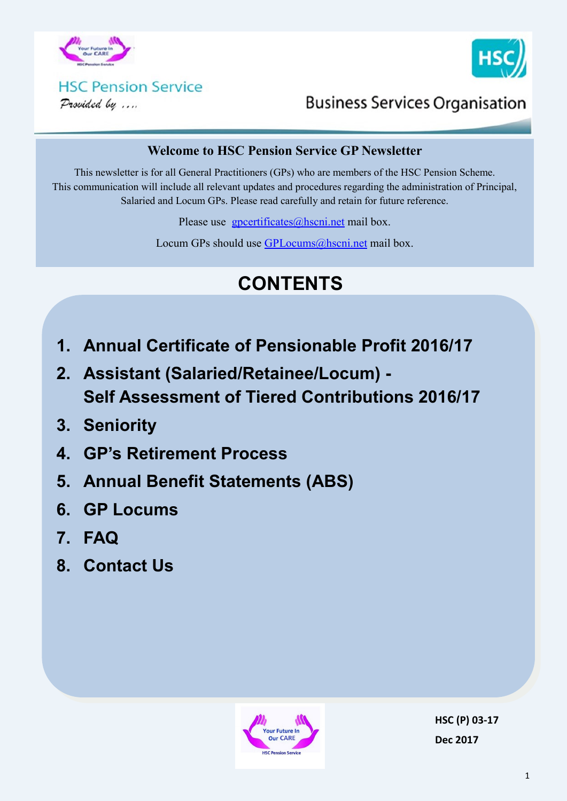



#### **HSC Pension Service** Provided by ....

**Business Services Organisation** 

#### **Welcome to HSC Pension Service GP Newsletter**

This newsletter is for all General Practitioners (GPs) who are members of the HSC Pension Scheme. This communication will include all relevant updates and procedures regarding the administration of Principal, Salaried and Locum GPs. Please read carefully and retain for future reference.

Please use [gpcertificates@hscni.net](mailto:gpcertificates@hscni.net) mail box.

Locum GPs should use [GPLocums@hscni.net](mailto:GPLocums@hscni.net) mail box.

# **CONTENTS**

- **1. Annual Certificate of Pensionable Profit 2016/17**
- **2. Assistant (Salaried/Retainee/Locum) - Self Assessment of Tiered Contributions 2016/17**
- **3. Seniority**
- **4. GP's Retirement Process**
- **5. Annual Benefit Statements (ABS)**
- **6. GP Locums**
- **7. FAQ**
- **8. Contact Us**



**HSC (P) 03-17 Dec 2017**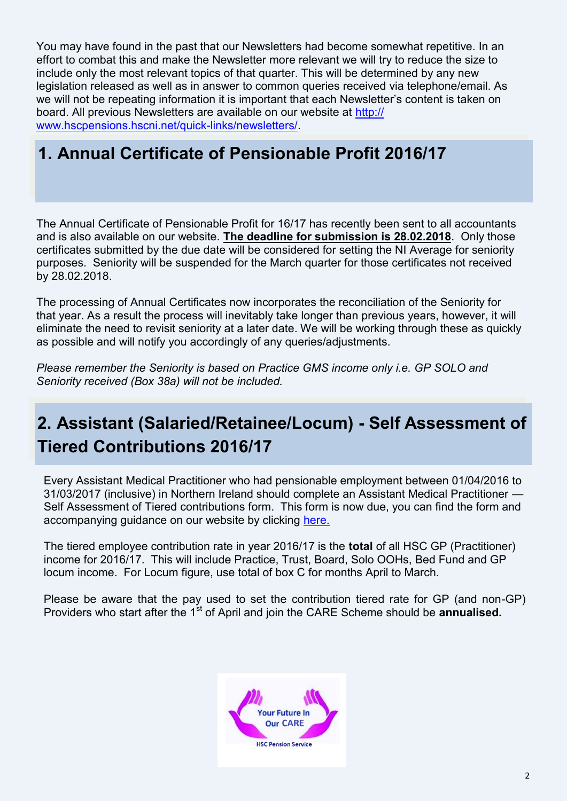You may have found in the past that our Newsletters had become somewhat repetitive. In an effort to combat this and make the Newsletter more relevant we will try to reduce the size to include only the most relevant topics of that quarter. This will be determined by any new legislation released as well as in answer to common queries received via telephone/email. As we will not be repeating information it is important that each Newsletter's content is taken on board. All previous Newsletters are available on our website at [http://](http://www.hscpensions.hscni.net/quick-links/newsletters/) [www.hscpensions.hscni.net/quick](http://www.hscpensions.hscni.net/quick-links/newsletters/)-links/newsletters/.

#### **1. Annual Certificate of Pensionable Profit 2016/17**

The Annual Certificate of Pensionable Profit for 16/17 has recently been sent to all accountants and is also available on our website. **The deadline for submission is 28.02.2018**. Only those certificates submitted by the due date will be considered for setting the NI Average for seniority purposes. Seniority will be suspended for the March quarter for those certificates not received by 28.02.2018.

The processing of Annual Certificates now incorporates the reconciliation of the Seniority for that year. As a result the process will inevitably take longer than previous years, however, it will eliminate the need to revisit seniority at a later date. We will be working through these as quickly as possible and will notify you accordingly of any queries/adjustments.

*Please remember the Seniority is based on Practice GMS income only i.e. GP SOLO and Seniority received (Box 38a) will not be included.* 

## **2. Assistant (Salaried/Retainee/Locum) - Self Assessment of Tiered Contributions 2016/17**

Every Assistant Medical Practitioner who had pensionable employment between 01/04/2016 to 31/03/2017 (inclusive) in Northern Ireland should complete an Assistant Medical Practitioner — Self Assessment of Tiered contributions form. This form is now due, you can find the form and accompanying guidance on our website by clicking [here.](http://www.hscpensions.hscni.net/download/Practitioners/2016-17-SELF-ASSESSMENT-4-11.xls)

The tiered employee contribution rate in year 2016/17 is the **total** of all HSC GP (Practitioner) income for 2016/17. This will include Practice, Trust, Board, Solo OOHs, Bed Fund and GP locum income. For Locum figure, use total of box C for months April to March.

Please be aware that the pay used to set the contribution tiered rate for GP (and non-GP) Providers who start after the 1<sup>st</sup> of April and join the CARE Scheme should be **annualised.** 

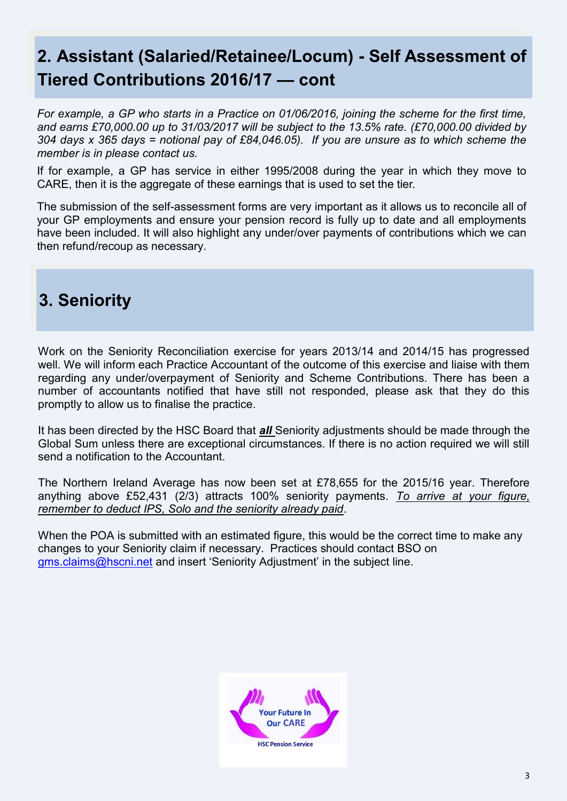## **2. Assistant (Salaried/Retainee/Locum) - Self Assessment of Tiered Contributions 2016/17 — cont**

*For example, a GP who starts in a Practice on 01/06/2016, joining the scheme for the first time, and earns £70,000.00 up to 31/03/2017 will be subject to the 13.5% rate. (£70,000.00 divided by 304 days x 365 days = notional pay of £84,046.05). If you are unsure as to which scheme the member is in please contact us.*

If for example, a GP has service in either 1995/2008 during the year in which they move to CARE, then it is the aggregate of these earnings that is used to set the tier.

The submission of the self-assessment forms are very important as it allows us to reconcile all of your GP employments and ensure your pension record is fully up to date and all employments have been included. It will also highlight any under/over payments of contributions which we can then refund/recoup as necessary.

## **3. Seniority**

Work on the Seniority Reconciliation exercise for years 2013/14 and 2014/15 has progressed well. We will inform each Practice Accountant of the outcome of this exercise and liaise with them regarding any under/overpayment of Seniority and Scheme Contributions. There has been a number of accountants notified that have still not responded, please ask that they do this promptly to allow us to finalise the practice.

It has been directed by the HSC Board that *all* Seniority adjustments should be made through the Global Sum unless there are exceptional circumstances. If there is no action required we will still send a notification to the Accountant.

The Northern Ireland Average has now been set at £78,655 for the 2015/16 year. Therefore anything above £52,431 (2/3) attracts 100% seniority payments. *To arrive at your figure, remember to deduct IPS, Solo and the seniority already paid*.

When the POA is submitted with an estimated figure, this would be the correct time to make any changes to your Seniority claim if necessary. Practices should contact BSO on gms.claims@hscni.net and insert 'Seniority Adjustment' in the subject line.

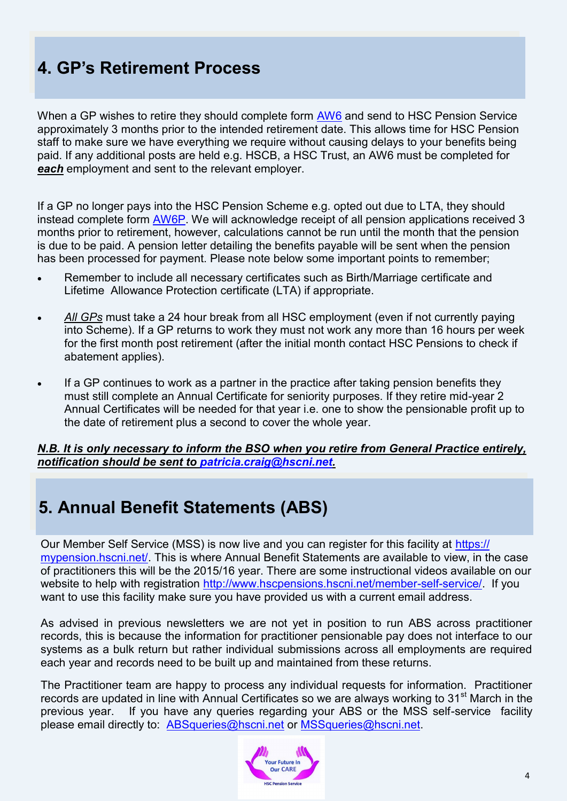## **4. GP's Retirement Process**

When a GP wishes to retire they should complete form [AW6](http://www.hscpensions.hscni.net/download/Scheme%20Forms/AW6-V1-4.pdf) and send to HSC Pension Service approximately 3 months prior to the intended retirement date. This allows time for HSC Pension staff to make sure we have everything we require without causing delays to your benefits being paid. If any additional posts are held e.g. HSCB, a HSC Trust, an AW6 must be completed for *each* employment and sent to the relevant employer.

If a GP no longer pays into the HSC Pension Scheme e.g. opted out due to LTA, they should instead complete form [AW6P.](http://www.hscpensions.hscni.net/download/Scheme%20Forms/AW6-P-Jun-2-1.pdf) We will acknowledge receipt of all pension applications received 3 months prior to retirement, however, calculations cannot be run until the month that the pension is due to be paid. A pension letter detailing the benefits payable will be sent when the pension has been processed for payment. Please note below some important points to remember;

- Remember to include all necessary certificates such as Birth/Marriage certificate and Lifetime Allowance Protection certificate (LTA) if appropriate.
- *All GPs* must take a 24 hour break from all HSC employment (even if not currently paying into Scheme). If a GP returns to work they must not work any more than 16 hours per week for the first month post retirement (after the initial month contact HSC Pensions to check if abatement applies).
- If a GP continues to work as a partner in the practice after taking pension benefits they must still complete an Annual Certificate for seniority purposes. If they retire mid-year 2 Annual Certificates will be needed for that year i.e. one to show the pensionable profit up to the date of retirement plus a second to cover the whole year.

#### *N.B. It is only necessary to inform the BSO when you retire from General Practice entirely, notification should be sent to [patricia.craig@hscni.net.](mailto:patricia.craig@hscni.net)*

#### **5. Annual Benefit Statements (ABS)**

Our Member Self Service (MSS) is now live and you can register for this facility at [https://](https://mypension.hscni.net/) [mypension.hscni.net/.](https://mypension.hscni.net/) This is where Annual Benefit Statements are available to view, in the case of practitioners this will be the 2015/16 year. There are some instructional videos available on our website to help with registration [http://www.hscpensions.hscni.net/member](http://www.hscpensions.hscni.net/member-self-service/)-self-service/. If you want to use this facility make sure you have provided us with a current email address.

As advised in previous newsletters we are not yet in position to run ABS across practitioner records, this is because the information for practitioner pensionable pay does not interface to our systems as a bulk return but rather individual submissions across all employments are required each year and records need to be built up and maintained from these returns.

The Practitioner team are happy to process any individual requests for information. Practitioner records are updated in line with Annual Certificates so we are always working to 31<sup>st</sup> March in the previous year. If you have any queries regarding your ABS or the MSS self-service facility please email directly to: [ABSqueries@hscni.net](mailto:ABSqueries@hscni.net) or [MSSqueries@hscni.net.](mailto:MSSqueries@hscni.net) 

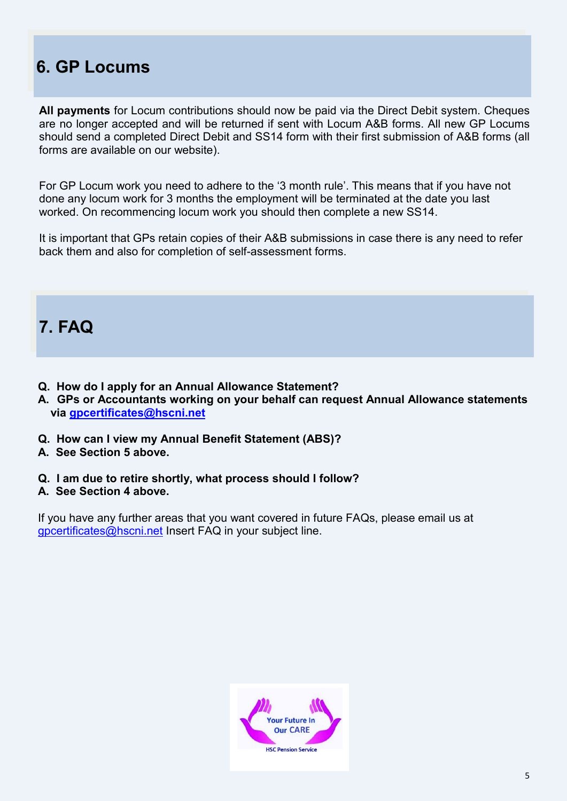## **6. GP Locums**

**All payments** for Locum contributions should now be paid via the Direct Debit system. Cheques are no longer accepted and will be returned if sent with Locum A&B forms. All new GP Locums should send a completed Direct Debit and SS14 form with their first submission of A&B forms (all forms are available on our website).

For GP Locum work you need to adhere to the '3 month rule'. This means that if you have not done any locum work for 3 months the employment will be terminated at the date you last worked. On recommencing locum work you should then complete a new SS14.

It is important that GPs retain copies of their A&B submissions in case there is any need to refer back them and also for completion of self-assessment forms.

#### **7. FAQ**

- **Q. How do I apply for an Annual Allowance Statement?**
- **A. GPs or Accountants working on your behalf can request Annual Allowance statements via [gpcertificates@hscni.net](mailto:gpcertificates@hscni.net)**
- **Q. How can I view my Annual Benefit Statement (ABS)?**
- **A. See Section 5 above.**
- **Q. I am due to retire shortly, what process should I follow?**
- **A. See Section 4 above.**

If you have any further areas that you want covered in future FAQs, please email us at [gpcertificates@hscni.net](mailto:gpcertificates@hscni.net) Insert FAQ in your subject line.